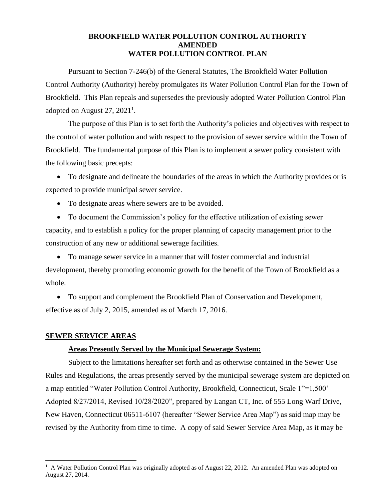# **BROOKFIELD WATER POLLUTION CONTROL AUTHORITY AMENDED WATER POLLUTION CONTROL PLAN**

Pursuant to Section 7-246(b) of the General Statutes, The Brookfield Water Pollution Control Authority (Authority) hereby promulgates its Water Pollution Control Plan for the Town of Brookfield. This Plan repeals and supersedes the previously adopted Water Pollution Control Plan adopted on August 27,  $2021<sup>1</sup>$ .

The purpose of this Plan is to set forth the Authority's policies and objectives with respect to the control of water pollution and with respect to the provision of sewer service within the Town of Brookfield. The fundamental purpose of this Plan is to implement a sewer policy consistent with the following basic precepts:

• To designate and delineate the boundaries of the areas in which the Authority provides or is expected to provide municipal sewer service.

• To designate areas where sewers are to be avoided.

• To document the Commission's policy for the effective utilization of existing sewer capacity, and to establish a policy for the proper planning of capacity management prior to the construction of any new or additional sewerage facilities.

• To manage sewer service in a manner that will foster commercial and industrial development, thereby promoting economic growth for the benefit of the Town of Brookfield as a whole.

• To support and complement the Brookfield Plan of Conservation and Development, effective as of July 2, 2015, amended as of March 17, 2016.

# **SEWER SERVICE AREAS**

# **Areas Presently Served by the Municipal Sewerage System:**

Subject to the limitations hereafter set forth and as otherwise contained in the Sewer Use Rules and Regulations, the areas presently served by the municipal sewerage system are depicted on a map entitled "Water Pollution Control Authority, Brookfield, Connecticut, Scale 1"=1,500' Adopted 8/27/2014, Revised 10/28/2020", prepared by Langan CT, Inc. of 555 Long Warf Drive, New Haven, Connecticut 06511-6107 (hereafter "Sewer Service Area Map") as said map may be revised by the Authority from time to time. A copy of said Sewer Service Area Map, as it may be

<sup>&</sup>lt;sup>1</sup> A Water Pollution Control Plan was originally adopted as of August 22, 2012. An amended Plan was adopted on August 27, 2014.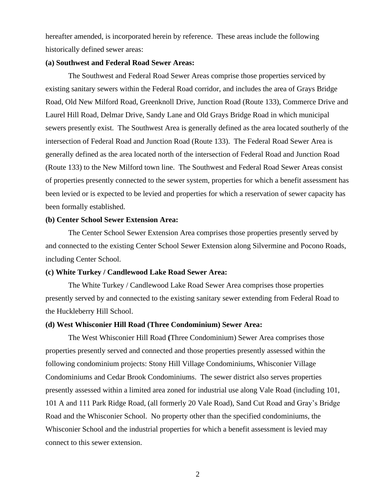hereafter amended, is incorporated herein by reference. These areas include the following historically defined sewer areas:

## **(a) Southwest and Federal Road Sewer Areas:**

The Southwest and Federal Road Sewer Areas comprise those properties serviced by existing sanitary sewers within the Federal Road corridor, and includes the area of Grays Bridge Road, Old New Milford Road, Greenknoll Drive, Junction Road (Route 133), Commerce Drive and Laurel Hill Road, Delmar Drive, Sandy Lane and Old Grays Bridge Road in which municipal sewers presently exist. The Southwest Area is generally defined as the area located southerly of the intersection of Federal Road and Junction Road (Route 133). The Federal Road Sewer Area is generally defined as the area located north of the intersection of Federal Road and Junction Road (Route 133) to the New Milford town line. The Southwest and Federal Road Sewer Areas consist of properties presently connected to the sewer system, properties for which a benefit assessment has been levied or is expected to be levied and properties for which a reservation of sewer capacity has been formally established.

# **(b) Center School Sewer Extension Area:**

The Center School Sewer Extension Area comprises those properties presently served by and connected to the existing Center School Sewer Extension along Silvermine and Pocono Roads, including Center School.

## **(c) White Turkey / Candlewood Lake Road Sewer Area:**

The White Turkey / Candlewood Lake Road Sewer Area comprises those properties presently served by and connected to the existing sanitary sewer extending from Federal Road to the Huckleberry Hill School.

# **(d) West Whisconier Hill Road (Three Condominium) Sewer Area:**

The West Whisconier Hill Road **(**Three Condominium) Sewer Area comprises those properties presently served and connected and those properties presently assessed within the following condominium projects: Stony Hill Village Condominiums, Whisconier Village Condominiums and Cedar Brook Condominiums. The sewer district also serves properties presently assessed within a limited area zoned for industrial use along Vale Road (including 101, 101 A and 111 Park Ridge Road, (all formerly 20 Vale Road), Sand Cut Road and Gray's Bridge Road and the Whisconier School. No property other than the specified condominiums, the Whisconier School and the industrial properties for which a benefit assessment is levied may connect to this sewer extension.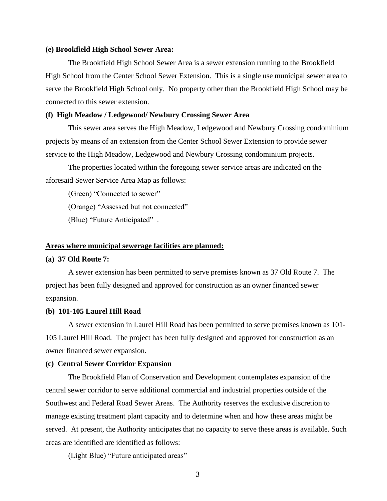## **(e) Brookfield High School Sewer Area:**

The Brookfield High School Sewer Area is a sewer extension running to the Brookfield High School from the Center School Sewer Extension. This is a single use municipal sewer area to serve the Brookfield High School only. No property other than the Brookfield High School may be connected to this sewer extension.

#### **(f) High Meadow / Ledgewood/ Newbury Crossing Sewer Area**

This sewer area serves the High Meadow, Ledgewood and Newbury Crossing condominium projects by means of an extension from the Center School Sewer Extension to provide sewer service to the High Meadow, Ledgewood and Newbury Crossing condominium projects.

The properties located within the foregoing sewer service areas are indicated on the aforesaid Sewer Service Area Map as follows:

(Green) "Connected to sewer"

(Orange) "Assessed but not connected"

(Blue) "Future Anticipated" .

#### **Areas where municipal sewerage facilities are planned:**

## **(a) 37 Old Route 7:**

A sewer extension has been permitted to serve premises known as 37 Old Route 7. The project has been fully designed and approved for construction as an owner financed sewer expansion.

# **(b) 101-105 Laurel Hill Road**

A sewer extension in Laurel Hill Road has been permitted to serve premises known as 101- 105 Laurel Hill Road. The project has been fully designed and approved for construction as an owner financed sewer expansion.

#### **(c) Central Sewer Corridor Expansion**

The Brookfield Plan of Conservation and Development contemplates expansion of the central sewer corridor to serve additional commercial and industrial properties outside of the Southwest and Federal Road Sewer Areas. The Authority reserves the exclusive discretion to manage existing treatment plant capacity and to determine when and how these areas might be served. At present, the Authority anticipates that no capacity to serve these areas is available. Such areas are identified are identified as follows:

(Light Blue) "Future anticipated areas"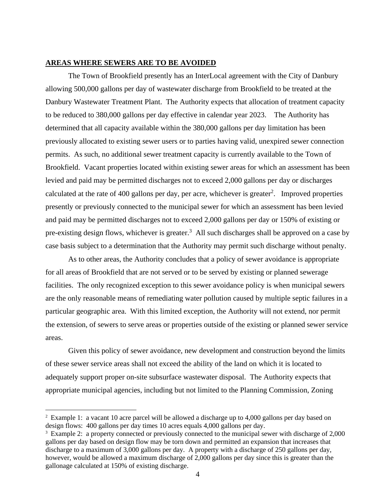# **AREAS WHERE SEWERS ARE TO BE AVOIDED**

The Town of Brookfield presently has an InterLocal agreement with the City of Danbury allowing 500,000 gallons per day of wastewater discharge from Brookfield to be treated at the Danbury Wastewater Treatment Plant. The Authority expects that allocation of treatment capacity to be reduced to 380,000 gallons per day effective in calendar year 2023. The Authority has determined that all capacity available within the 380,000 gallons per day limitation has been previously allocated to existing sewer users or to parties having valid, unexpired sewer connection permits. As such, no additional sewer treatment capacity is currently available to the Town of Brookfield. Vacant properties located within existing sewer areas for which an assessment has been levied and paid may be permitted discharges not to exceed 2,000 gallons per day or discharges calculated at the rate of 400 gallons per day, per acre, whichever is greater<sup>2</sup>. Improved properties presently or previously connected to the municipal sewer for which an assessment has been levied and paid may be permitted discharges not to exceed 2,000 gallons per day or 150% of existing or pre-existing design flows, whichever is greater.<sup>3</sup> All such discharges shall be approved on a case by case basis subject to a determination that the Authority may permit such discharge without penalty.

As to other areas, the Authority concludes that a policy of sewer avoidance is appropriate for all areas of Brookfield that are not served or to be served by existing or planned sewerage facilities. The only recognized exception to this sewer avoidance policy is when municipal sewers are the only reasonable means of remediating water pollution caused by multiple septic failures in a particular geographic area. With this limited exception, the Authority will not extend, nor permit the extension, of sewers to serve areas or properties outside of the existing or planned sewer service areas.

Given this policy of sewer avoidance, new development and construction beyond the limits of these sewer service areas shall not exceed the ability of the land on which it is located to adequately support proper on-site subsurface wastewater disposal. The Authority expects that appropriate municipal agencies, including but not limited to the Planning Commission, Zoning

<sup>&</sup>lt;sup>2</sup> Example 1: a vacant 10 acre parcel will be allowed a discharge up to 4,000 gallons per day based on design flows: 400 gallons per day times 10 acres equals 4,000 gallons per day.

<sup>&</sup>lt;sup>3</sup> Example 2: a property connected or previously connected to the municipal sewer with discharge of 2,000 gallons per day based on design flow may be torn down and permitted an expansion that increases that discharge to a maximum of 3,000 gallons per day. A property with a discharge of 250 gallons per day, however, would be allowed a maximum discharge of 2,000 gallons per day since this is greater than the gallonage calculated at 150% of existing discharge.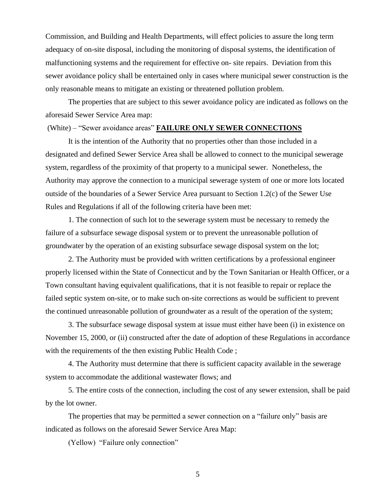Commission, and Building and Health Departments, will effect policies to assure the long term adequacy of on-site disposal, including the monitoring of disposal systems, the identification of malfunctioning systems and the requirement for effective on- site repairs. Deviation from this sewer avoidance policy shall be entertained only in cases where municipal sewer construction is the only reasonable means to mitigate an existing or threatened pollution problem.

The properties that are subject to this sewer avoidance policy are indicated as follows on the aforesaid Sewer Service Area map:

## (White) – "Sewer avoidance areas" **FAILURE ONLY SEWER CONNECTIONS**

It is the intention of the Authority that no properties other than those included in a designated and defined Sewer Service Area shall be allowed to connect to the municipal sewerage system, regardless of the proximity of that property to a municipal sewer. Nonetheless, the Authority may approve the connection to a municipal sewerage system of one or more lots located outside of the boundaries of a Sewer Service Area pursuant to Section 1.2(c) of the Sewer Use Rules and Regulations if all of the following criteria have been met:

1. The connection of such lot to the sewerage system must be necessary to remedy the failure of a subsurface sewage disposal system or to prevent the unreasonable pollution of groundwater by the operation of an existing subsurface sewage disposal system on the lot;

2. The Authority must be provided with written certifications by a professional engineer properly licensed within the State of Connecticut and by the Town Sanitarian or Health Officer, or a Town consultant having equivalent qualifications, that it is not feasible to repair or replace the failed septic system on-site, or to make such on-site corrections as would be sufficient to prevent the continued unreasonable pollution of groundwater as a result of the operation of the system;

3. The subsurface sewage disposal system at issue must either have been (i) in existence on November 15, 2000, or (ii) constructed after the date of adoption of these Regulations in accordance with the requirements of the then existing Public Health Code ;

4. The Authority must determine that there is sufficient capacity available in the sewerage system to accommodate the additional wastewater flows; and

5. The entire costs of the connection, including the cost of any sewer extension, shall be paid by the lot owner.

The properties that may be permitted a sewer connection on a "failure only" basis are indicated as follows on the aforesaid Sewer Service Area Map:

(Yellow) "Failure only connection"

5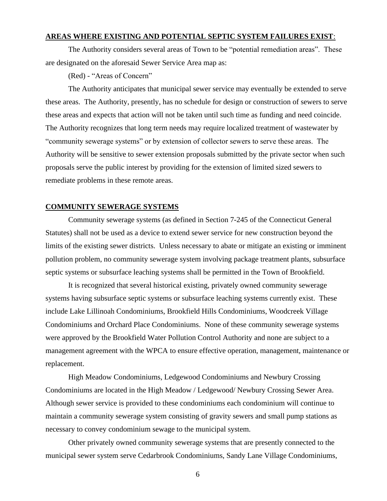# **AREAS WHERE EXISTING AND POTENTIAL SEPTIC SYSTEM FAILURES EXIST**:

The Authority considers several areas of Town to be "potential remediation areas". These are designated on the aforesaid Sewer Service Area map as:

(Red) - "Areas of Concern"

The Authority anticipates that municipal sewer service may eventually be extended to serve these areas. The Authority, presently, has no schedule for design or construction of sewers to serve these areas and expects that action will not be taken until such time as funding and need coincide. The Authority recognizes that long term needs may require localized treatment of wastewater by "community sewerage systems" or by extension of collector sewers to serve these areas. The Authority will be sensitive to sewer extension proposals submitted by the private sector when such proposals serve the public interest by providing for the extension of limited sized sewers to remediate problems in these remote areas.

## **COMMUNITY SEWERAGE SYSTEMS**

Community sewerage systems (as defined in Section 7-245 of the Connecticut General Statutes) shall not be used as a device to extend sewer service for new construction beyond the limits of the existing sewer districts. Unless necessary to abate or mitigate an existing or imminent pollution problem, no community sewerage system involving package treatment plants, subsurface septic systems or subsurface leaching systems shall be permitted in the Town of Brookfield.

It is recognized that several historical existing, privately owned community sewerage systems having subsurface septic systems or subsurface leaching systems currently exist. These include Lake Lillinoah Condominiums, Brookfield Hills Condominiums, Woodcreek Village Condominiums and Orchard Place Condominiums. None of these community sewerage systems were approved by the Brookfield Water Pollution Control Authority and none are subject to a management agreement with the WPCA to ensure effective operation, management, maintenance or replacement.

High Meadow Condominiums, Ledgewood Condominiums and Newbury Crossing Condominiums are located in the High Meadow / Ledgewood/ Newbury Crossing Sewer Area. Although sewer service is provided to these condominiums each condominium will continue to maintain a community sewerage system consisting of gravity sewers and small pump stations as necessary to convey condominium sewage to the municipal system.

Other privately owned community sewerage systems that are presently connected to the municipal sewer system serve Cedarbrook Condominiums, Sandy Lane Village Condominiums,

6